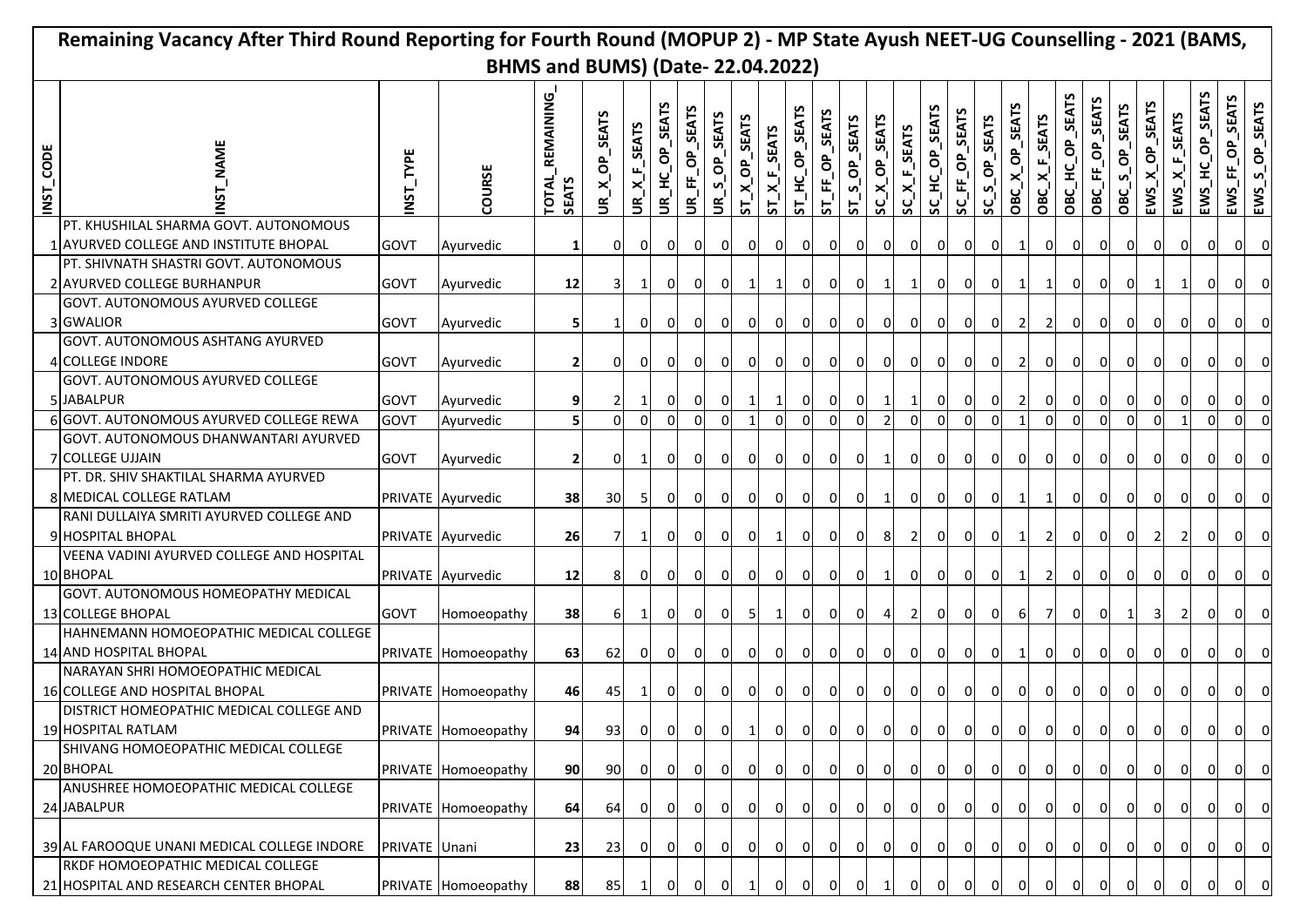|                                         | Remaining Vacancy After Third Round Reporting for Fourth Round (MOPUP 2) - MP State Ayush NEET-UG Counselling - 2021 (BAMS, |               |                     |                                           |                                  |                |                          |                         |                |                       |                 |                    |                                 |                           |                |                  |                |                |                |                |                |                 |                 |                          |                         |                                    |                 |                 |                |
|-----------------------------------------|-----------------------------------------------------------------------------------------------------------------------------|---------------|---------------------|-------------------------------------------|----------------------------------|----------------|--------------------------|-------------------------|----------------|-----------------------|-----------------|--------------------|---------------------------------|---------------------------|----------------|------------------|----------------|----------------|----------------|----------------|----------------|-----------------|-----------------|--------------------------|-------------------------|------------------------------------|-----------------|-----------------|----------------|
| <b>BHMS and BUMS) (Date-22.04.2022)</b> |                                                                                                                             |               |                     |                                           |                                  |                |                          |                         |                |                       |                 |                    |                                 |                           |                |                  |                |                |                |                |                |                 |                 |                          |                         |                                    |                 |                 |                |
| INST_CODE                               | NAME                                                                                                                        | TYPE<br>INST. | COURSE              | REMAINING<br><b>TOTAL</b><br><b>SEATS</b> | OP_SEATS<br>$x_1^{\prime}$<br>š. | UR_X_F_SEATS   | <b>SEATS</b><br>UR_HC_OP | <b>SEAT</b><br>UR_FF_OP | UR_S_OP_SEATS  | ST_X_OP_SEATS         | $ST\_X_F$ SEATS | SEATS<br>ST_HC_OP_ | OP_SEATS<br>$ST$ <sub>-FF</sub> | OP_SEATS<br>$\frac{5}{5}$ | SC_X_OP_SEATS  | $SC\_X_F$ _SEATS | SC_HC_OP_SEATS | SC_FF_OP_SEATS | SC_S_OP_SEATS  | OBC_X_OP_SEATS | OBC_X_F_SEATS  | OBC_HC_OP_SEATS | OBC_FF_OP_SEATS | S_OP_SEATS<br><b>OBC</b> | EWS_X_OP_SEATS          | $EWS_{\_}$ $K_{\_}$ $F_{\_}$ SEATS | EWS_HC_OP_SEATS | EWS_FF_OP_SEATS | EWS_S_OP_SEATS |
|                                         | PT. KHUSHILAL SHARMA GOVT. AUTONOMOUS                                                                                       |               |                     |                                           |                                  |                |                          |                         |                |                       |                 |                    |                                 |                           |                |                  |                |                |                |                |                |                 |                 |                          |                         |                                    |                 |                 |                |
|                                         | 1 AYURVED COLLEGE AND INSTITUTE BHOPAL<br>PT. SHIVNATH SHASTRI GOVT. AUTONOMOUS                                             | <b>GOVT</b>   | Ayurvedic           | 1                                         | $\overline{0}$                   | $\overline{0}$ | $\overline{0}$           | 0                       | $\overline{0}$ | $\overline{0}$        | 0               | 0                  | $\overline{0}$                  | $\overline{0}$            | $\overline{0}$ | $\overline{0}$   | $\mathbf{0}$   | 0              | 0              | 1              | $\overline{0}$ | $\overline{0}$  | $\overline{0}$  | 0                        | $\overline{0}$          | $\overline{0}$                     | $\mathbf{0}$    | $\overline{0}$  | $\overline{0}$ |
|                                         | 2 AYURVED COLLEGE BURHANPUR                                                                                                 | <b>GOVT</b>   | Ayurvedic           | 12                                        | 31                               | -1             | $\overline{0}$           | $\overline{0}$          | $\overline{0}$ | $\mathbf{1}^{\prime}$ |                 | 0                  | $\overline{0}$                  | $\overline{0}$            |                | $\vert$ 1        | $\mathbf{0}$   | 0              | $\overline{0}$ | $\mathbf{1}$   | $1\vert$       | $\overline{0}$  | 0               | $\overline{0}$           | $\mathbf{1}$            | $\mathbf{1}$                       | $\overline{0}$  | 0               | 0              |
|                                         | GOVT. AUTONOMOUS AYURVED COLLEGE                                                                                            |               |                     |                                           |                                  |                |                          |                         |                |                       |                 |                    |                                 |                           |                |                  |                |                |                |                |                |                 |                 |                          |                         |                                    |                 |                 |                |
|                                         | 3 GWALIOR                                                                                                                   | <b>GOVT</b>   | Ayurvedic           | 5                                         | $\mathbf{1}$                     | 0I             | $\overline{0}$           | οı                      | 0              | 0I                    | 0l              | οı                 | $\overline{0}$                  | οı                        | 0l             | $\overline{0}$   | 0              | $\overline{0}$ | 01             | <sup>2</sup>   | $\overline{2}$ | ΟI              | ΟI              | $\overline{0}$           | $\overline{0}$          | $\overline{0}$                     | 0               | $\overline{0}$  | $\circ$        |
|                                         | GOVT. AUTONOMOUS ASHTANG AYURVED                                                                                            |               |                     |                                           |                                  |                |                          |                         |                |                       |                 |                    |                                 |                           |                |                  |                |                |                |                |                |                 |                 |                          |                         |                                    |                 |                 |                |
|                                         | 4 COLLEGE INDORE                                                                                                            | <b>GOVT</b>   | Ayurvedic           | $\overline{\mathbf{c}}$                   | 0                                | 0I             | 0I                       | ΟI                      | 0              | οı                    | οı              | ΟI                 | $\overline{0}$                  | οı                        | ΟI             | $\overline{0}$   | 0              | $\overline{0}$ | οı             | <sup>2</sup>   | $\overline{0}$ | 01              | ΟI              | $\overline{0}$           | 01                      | οI                                 | ΟI              | ΟI              | $\overline{0}$ |
|                                         | GOVT. AUTONOMOUS AYURVED COLLEGE<br>5 JABALPUR                                                                              | <b>GOVT</b>   | Ayurvedic           | 9                                         |                                  |                | οı                       | 01                      | 0              | -1                    |                 | ΟI                 | $\overline{0}$                  | ΟI                        |                | 11               | 0              | $\overline{0}$ | ΟI             | <sup>2</sup>   | $\overline{0}$ | 0I              | 0I              | $\overline{0}$           | 01                      | $\overline{0}$                     | 01              | $\overline{O}$  | 0              |
|                                         | 6 GOVT. AUTONOMOUS AYURVED COLLEGE REWA                                                                                     | <b>GOVT</b>   | Ayurvedic           | 5                                         | $\Omega$                         | $\Omega$       | $\Omega$                 | $\Omega$                | $\Omega$       |                       | $\Omega$        | $\Omega$           | $\Omega$                        | $\Omega$                  |                | $\Omega$         | $\Omega$       | οI             | $\Omega$       | $\mathbf{1}$   | $\Omega$       | ΩI              | $\Omega$        | οI                       | $\Omega$                |                                    | $\Omega$        | $\overline{0}$  | $\overline{0}$ |
|                                         | GOVT. AUTONOMOUS DHANWANTARI AYURVED                                                                                        |               |                     |                                           |                                  |                |                          |                         |                |                       |                 |                    |                                 |                           |                |                  |                |                |                |                |                |                 |                 |                          |                         |                                    |                 |                 |                |
|                                         | <b>7 COLLEGE UJJAIN</b>                                                                                                     | <b>GOVT</b>   | Ayurvedic           | $\overline{\mathbf{c}}$                   | $\Omega$                         | 1              | $\overline{0}$           | 0I                      | 0              | 0I                    | 0               | 01                 | $\overline{0}$                  | 01                        |                | $\overline{0}$   | $\overline{0}$ | $\overline{0}$ | 0              | 0              | $\overline{0}$ | 01              | $\overline{0}$  | 0                        | $\mathbf{0}$            | $\overline{0}$                     | $\overline{0}$  | $\overline{0}$  | $\circ$        |
|                                         | PT. DR. SHIV SHAKTILAL SHARMA AYURVED                                                                                       |               |                     |                                           |                                  |                |                          |                         |                |                       |                 |                    |                                 |                           |                |                  |                |                |                |                |                |                 |                 |                          |                         |                                    |                 |                 |                |
|                                         | 8 MEDICAL COLLEGE RATLAM                                                                                                    |               | PRIVATE Ayurvedic   | 38                                        | 30                               | -5 I           | $\overline{0}$           | $\overline{0}$          | 0              | $\overline{0}$        | 01              | 0                  | $\overline{0}$                  | $\overline{0}$            |                | 0                | 01             | $\overline{0}$ | 01             | $\mathbf{1}$   | $\mathbf{1}$   | $\overline{0}$  | $\overline{0}$  | $\overline{0}$           | ΟI                      | $\overline{0}$                     | οı              | $\overline{0}$  | $\circ$        |
|                                         | RANI DULLAIYA SMRITI AYURVED COLLEGE AND<br>9 HOSPITAL BHOPAL                                                               |               |                     |                                           |                                  |                |                          |                         |                | οI                    |                 |                    |                                 |                           |                |                  |                |                |                |                |                |                 |                 |                          |                         |                                    |                 |                 |                |
|                                         | VEENA VADINI AYURVED COLLEGE AND HOSPITAL                                                                                   |               | PRIVATE Ayurvedic   | 26                                        | 71                               | 1              | $\overline{0}$           | οI                      | $\overline{0}$ |                       | 1               | οI                 | $\overline{0}$                  | $\overline{0}$            | 8              | $\overline{2}$   | 0              | $\overline{0}$ | 0              | $\mathbf{1}$   | $\overline{2}$ | ΟI              | $\overline{0}$  | 0                        | $\overline{2}$          | 2 <sup>1</sup>                     | 0I              | $\overline{0}$  | $\circ$        |
|                                         | 10 BHOPAL                                                                                                                   |               | PRIVATE Ayurvedic   | 12                                        | 8                                | ΟI             | 0I                       | ΟI                      | 0              | οI                    | ΟI              | ΟI                 | $\overline{0}$                  | ΟI                        |                | 01               | 0              | $\overline{0}$ | οı             | 1              | $\overline{2}$ | ΟI              | οI              | $\overline{0}$           | ΟI                      | οI                                 | $\Omega$        | ΟI              | $\mathbf{0}$   |
|                                         | GOVT. AUTONOMOUS HOMEOPATHY MEDICAL                                                                                         |               |                     |                                           |                                  |                |                          |                         |                |                       |                 |                    |                                 |                           |                |                  |                |                |                |                |                |                 |                 |                          |                         |                                    |                 |                 |                |
|                                         | 13 COLLEGE BHOPAL                                                                                                           | <b>GOVT</b>   | Homoeopathy         | 38                                        | 6                                |                | $\Omega$                 | ΟI                      | 0              | -51                   |                 | ΟI                 | $\overline{0}$                  | 01                        |                | <b>21</b>        | 0              | $\overline{0}$ | 0I             | 61             | 7              | 01              | 0I              | $\mathbf{1}$             | 3                       | <b>21</b>                          | 01              | $\overline{0}$  | 0l             |
|                                         | HAHNEMANN HOMOEOPATHIC MEDICAL COLLEGE                                                                                      |               |                     |                                           |                                  |                |                          |                         |                |                       |                 |                    |                                 |                           |                |                  |                |                |                |                |                |                 |                 |                          |                         |                                    |                 |                 |                |
|                                         | 14 AND HOSPITAL BHOPAL                                                                                                      |               | PRIVATE Homoeopathy | 63                                        | <b>62</b>                        | ΟI             | $\Omega$                 | ΟI                      | $\overline{0}$ | 0I                    | 0l              | ΟI                 | $\overline{0}$                  | 0I                        | ΟI             | $\overline{0}$   | 0              | $\overline{0}$ | 0I             | -11            | $\overline{0}$ | ΟI              | 0               | $\overline{0}$           | $\overline{\mathbf{0}}$ | $\overline{0}$                     | 0I              | $\overline{0}$  | 0              |
|                                         | NARAYAN SHRI HOMOEOPATHIC MEDICAL                                                                                           |               |                     |                                           |                                  |                |                          |                         |                |                       |                 |                    |                                 |                           |                |                  |                |                |                |                |                |                 |                 |                          |                         |                                    |                 |                 |                |
|                                         | 16 COLLEGE AND HOSPITAL BHOPAL<br>DISTRICT HOMEOPATHIC MEDICAL COLLEGE AND                                                  |               | PRIVATE Homoeopathy | 46                                        | 45                               |                |                          | $\overline{0}$          | $\overline{0}$ | $\overline{0}$        | <sup>0</sup>    | οı                 | $\overline{0}$                  | $\overline{0}$            | <sup>0</sup>   | $\mathbf{0}$     | $\mathbf{0}$   | 0              | <sup>0</sup>   | 0              | 0              | $\overline{0}$  | 0               | $\overline{0}$           | $\overline{0}$          | 0                                  | $\overline{0}$  | 0               | 0              |
|                                         | 19 HOSPITAL RATLAM                                                                                                          |               | PRIVATE Homoeopathy | 94                                        | 93                               | $\overline{0}$ | $\overline{0}$           | $\overline{0}$          | $\overline{0}$ | $\mathbf{1}$          | $\overline{0}$  | $\overline{0}$     | $\overline{0}$                  | $\overline{0}$            | $\mathbf{0}$   | 0                | 0l             | $\overline{0}$ | $\overline{0}$ | 0              | $\overline{0}$ | οI              | $\overline{0}$  | $\circ$                  | $\circ$                 | $\overline{0}$                     | $\overline{0}$  | $\overline{0}$  | $\overline{0}$ |
|                                         | SHIVANG HOMOEOPATHIC MEDICAL COLLEGE                                                                                        |               |                     |                                           |                                  |                |                          |                         |                |                       |                 |                    |                                 |                           |                |                  |                |                |                |                |                |                 |                 |                          |                         |                                    |                 |                 |                |
|                                         | 20 BHOPAL                                                                                                                   |               | PRIVATE Homoeopathy | 90                                        | 90                               | $\Omega$       | -01                      | 0I                      | $\overline{0}$ | 0l                    | $\overline{0}$  | 0I                 | $\overline{0}$                  | 0I                        | $\overline{0}$ | 0                | 0l             | $\overline{0}$ | $\overline{0}$ | $\overline{0}$ | $\overline{0}$ | 0I              | $\overline{0}$  | $\overline{0}$           | $\overline{\mathbf{0}}$ | $\circ$                            | 0               |                 | $0\quad 0$     |
|                                         | ANUSHREE HOMOEOPATHIC MEDICAL COLLEGE                                                                                       |               |                     |                                           |                                  |                |                          |                         |                |                       |                 |                    |                                 |                           |                |                  |                |                |                |                |                |                 |                 |                          |                         |                                    |                 |                 |                |
|                                         | 24 JABALPUR                                                                                                                 |               | PRIVATE Homoeopathy | 64                                        | 64                               | 0 I            | 0I                       | 0I                      | οI             | 0I                    | ΟI              | ΟI                 | $\overline{0}$                  | 01                        | 0              | $\overline{0}$   | ΟI             | $\overline{0}$ | 0l             | 01             | $\overline{0}$ | 01              | ΟI              | $\overline{0}$           | 01                      | οI                                 | 0               | $\overline{0}$  | $\overline{0}$ |
|                                         | 39 AL FAROOQUE UNANI MEDICAL COLLEGE INDORE                                                                                 | PRIVATE Unani |                     | 23                                        | 23                               | ΟI             | 0I                       | 01                      | οI             | 0I                    | οı              | 01                 | 0l                              | ΟI                        | ΟI             | $\overline{0}$   | ΟI             | 0 I            | ΟI             | ΟI             | $\overline{0}$ | ΟI              | ΟI              | $\overline{0}$           | 0 I                     | οI                                 | οı              | 0               | $\overline{0}$ |
|                                         | RKDF HOMOEOPATHIC MEDICAL COLLEGE                                                                                           |               |                     |                                           |                                  |                |                          |                         |                |                       |                 |                    |                                 |                           |                |                  |                |                |                |                |                |                 |                 |                          |                         |                                    |                 |                 |                |
|                                         | 21 HOSPITAL AND RESEARCH CENTER BHOPAL                                                                                      |               | PRIVATE Homoeopathy | 88                                        | 85                               |                |                          |                         | $\Omega$       |                       | 0               |                    | $\overline{0}$                  |                           |                | οI               | 0              | οI             | 01             | 01             | οI             | ΟI              | 0               | $\overline{0}$           | 01                      | οI                                 | 0               | $\overline{0}$  | $\overline{0}$ |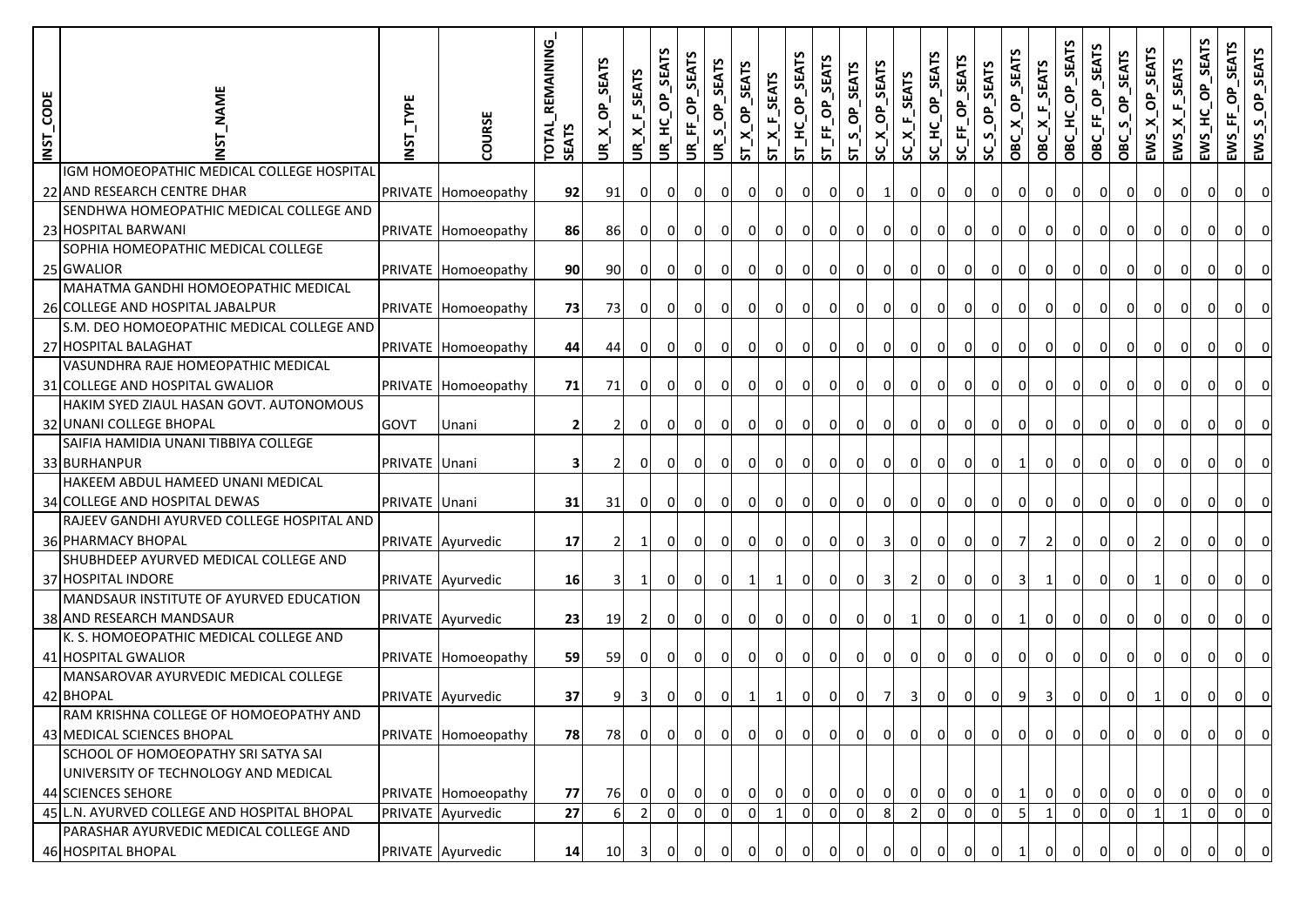| INST_CODE | <b>NAME</b>                                                                                              | TYPE<br>INST. | COURSE              | TOTAL REMAINING<br><b>SEATS</b> | SEATS<br>$X -$<br>£. | $X_F$ SEATS<br>$\widetilde{\mathsf{e}}$ | SEATS<br>UR_HC_OP | <b>SEATS</b><br>$-F = OP$<br>š. | S_OP_SEATS<br>$\mathbf{g}^{\prime}$ | n<br>$X$ <sup>OP</sup> _SEAT<br><u>51</u> | $ST_A F_S EATS$ | ST_HC_OP_SEATS | SEATS<br>$-F_0P_1$<br><u>ম</u> | OP_SEATS<br>$\frac{5}{5}$ | SC_X_OP_SEATS  | $SC\_X_F$ <sub>SEATS</sub> | SC_HC_OP_SEATS | SC_FF_OP_SEATS | OP_SEATS<br>$\mathbf{v}_i$<br>ပ္တ | OBC_X_OP_SEATS | OBC_X_F_SEATS  | OBC_HC_OP_SEATS | OBC_FF_OP_SEATS | SEATS<br>$S_0P_2$<br>OBC. | SEATS<br>$X^{\bullet}$<br>EWS <sup>-</sup> | $EWS\_X_F_SERTS$ | <b>SEATS</b><br>ô<br>EWS_HC | OP_SEATS<br>EWS_FF | EWS_S_OP_SEATS          |
|-----------|----------------------------------------------------------------------------------------------------------|---------------|---------------------|---------------------------------|----------------------|-----------------------------------------|-------------------|---------------------------------|-------------------------------------|-------------------------------------------|-----------------|----------------|--------------------------------|---------------------------|----------------|----------------------------|----------------|----------------|-----------------------------------|----------------|----------------|-----------------|-----------------|---------------------------|--------------------------------------------|------------------|-----------------------------|--------------------|-------------------------|
|           | IGM HOMOEOPATHIC MEDICAL COLLEGE HOSPITAL<br>22 AND RESEARCH CENTRE DHAR                                 |               | PRIVATE Homoeopathy | 92                              | 91                   | $\overline{0}$                          | οI                | 0                               | $\overline{0}$                      | 0                                         | $\overline{0}$  | 0              | $\overline{0}$                 | $\overline{0}$            | $\mathbf{1}$   | 0                          | $\overline{0}$ | 01             | $\overline{0}$                    | $\overline{0}$ | $\overline{0}$ | οı              | $\overline{0}$  | $\overline{0}$            | $\overline{0}$                             | ΟI               | 0                           | 01                 | $\overline{0}$          |
|           | SENDHWA HOMEOPATHIC MEDICAL COLLEGE AND<br>23 HOSPITAL BARWANI                                           |               | PRIVATE Homoeopathy | 86                              | 86                   | 0                                       | $\overline{0}$    | $\Omega$                        | $\overline{0}$                      | $\overline{\mathbf{0}}$                   | $\overline{0}$  | $\overline{0}$ | $\overline{0}$                 | $\overline{0}$            | $\mathbf{0}$   | $\overline{0}$             | $\overline{0}$ | οI             | $\overline{0}$                    | $\overline{0}$ | 0              | οı              | $\overline{0}$  | $\overline{0}$            | $\overline{\mathbf{0}}$                    | $\overline{0}$   | $\overline{0}$              | οı                 | $\Omega$                |
|           | SOPHIA HOMEOPATHIC MEDICAL COLLEGE<br>25 GWALIOR                                                         |               | PRIVATE Homoeopathy | 90                              | 90                   | $\overline{0}$                          | οı                | $\overline{0}$                  | $\overline{0}$                      | $\Omega$                                  | $\overline{0}$  | $\overline{0}$ | 0                              | οı                        | 0              | $\overline{0}$             | 0              | ΟI             | 0                                 | 0              | 0              |                 | 0               | $\overline{0}$            | $\overline{0}$                             | -01              | 01                          | 0                  | 0                       |
|           | MAHATMA GANDHI HOMOEOPATHIC MEDICAL<br>26 COLLEGE AND HOSPITAL JABALPUR                                  |               | PRIVATE Homoeopathy | 73                              | 73                   | $\overline{0}$                          | ΟI                | $\overline{0}$                  | $\overline{0}$                      | $\overline{0}$                            | $\overline{0}$  | $\overline{0}$ | 0                              | ΟI                        | 01             | 0                          | ΟI             | ΟI             | 01                                | οı             | 0              | 01              | 0 I             | $\overline{0}$            | 0 I                                        | 0I               | ΟI                          | ΟI                 | <sup>o</sup>            |
|           | S.M. DEO HOMOEOPATHIC MEDICAL COLLEGE AND<br>27 HOSPITAL BALAGHAT<br>VASUNDHRA RAJE HOMEOPATHIC MEDICAL  |               | PRIVATE Homoeopathy | 44                              | 44                   | 01                                      | 0I                | $\overline{\mathbf{0}}$         | $\overline{0}$                      | $\mathbf{0}$                              | $\overline{0}$  | οI             | 0                              | ΟI                        | 01             | 0I                         | 0              | ΟI             | 0                                 | ΟI             | 0              | ΟI              | 0               | 0 I                       | 0 I                                        | 0I               | 01                          | ΟI                 | $\Omega$                |
|           | 31 COLLEGE AND HOSPITAL GWALIOR                                                                          |               | PRIVATE Homoeopathy | 71                              | 71                   | οı                                      | ΟI                | 01                              | $\overline{0}$                      | $\overline{0}$                            | 0               | $\overline{0}$ | $\overline{0}$                 | 01                        | 01             | 0                          | $\overline{0}$ | 0              | 0                                 | 0              | $\Omega$       |                 | 0               | $\Omega$                  | οI                                         |                  |                             | $\overline{0}$     | $\overline{0}$          |
|           | HAKIM SYED ZIAUL HASAN GOVT. AUTONOMOUS<br>32 UNANI COLLEGE BHOPAL                                       | <b>GOVT</b>   | Unani               | 2                               | 2                    | οı                                      | 01                | $\overline{0}$                  | $\overline{0}$                      | $\overline{0}$                            | $\overline{0}$  | 0              | $\overline{0}$                 | $\overline{0}$            | $\overline{0}$ | $\overline{0}$             | $\overline{0}$ | οI             | $\overline{0}$                    | $\overline{0}$ | 0              | οı              | 0               | $\overline{0}$            | 0                                          | 0I               | 0                           | $\overline{0}$     | 0l                      |
|           | SAIFIA HAMIDIA UNANI TIBBIYA COLLEGE<br>33 BURHANPUR                                                     | PRIVATE Unani |                     | $\overline{\mathbf{3}}$         | 2                    | $\overline{0}$                          | 0                 | $\overline{0}$                  | $\overline{0}$                      | $\overline{0}$                            | $\overline{0}$  | 0l             | $\overline{0}$                 | οI                        | $\mathbf{0}$   | $\overline{0}$             | $\overline{0}$ | οI             | 0                                 | $\mathbf{1}$   | $\overline{0}$ | ΟI              | 0               | $\overline{0}$            | $\overline{0}$                             | $\overline{0}$   | ΟI                          | οI                 | $\overline{0}$          |
|           | HAKEEM ABDUL HAMEED UNANI MEDICAL<br>34 COLLEGE AND HOSPITAL DEWAS                                       | PRIVATE Unani |                     | 31                              | 31                   | ΟI                                      | 0I                | ΟI                              | ΟI                                  | οI                                        | $\mathbf{0}$    | $\overline{0}$ | $\overline{0}$                 | οı                        | $\Omega$       | $\overline{0}$             | $\Omega$       | 0              | 0                                 | 0              | 0l             |                 | 0               | $\overline{0}$            | 01                                         | 0I               | 01                          | $\mathbf 0$        | $\Omega$                |
|           | RAJEEV GANDHI AYURVED COLLEGE HOSPITAL AND<br>36 PHARMACY BHOPAL                                         |               | PRIVATE Ayurvedic   | 17                              | 2                    | 1I                                      | οı                | 0                               | ΟI                                  | οI                                        | ΟI              | $\overline{0}$ | 0                              | ΟI                        | 3              | $\overline{0}$             | 0              | 0.             | 0                                 | 7              | $\overline{2}$ | 01              | 0 I             | $\overline{0}$            | $\overline{2}$                             | $\Omega$         | 0                           | $\mathbf{0}$       | $\Omega$                |
|           | SHUBHDEEP AYURVED MEDICAL COLLEGE AND<br>37 HOSPITAL INDORE                                              |               | PRIVATE Ayurvedic   | 16                              | 3                    | $\mathbf{1}$                            | οı                | οI                              | οI                                  | 1                                         | $\mathbf{1}$    | $\overline{0}$ | 0                              | οI                        | 3              | $\overline{2}$             | 0              | ΟI             | 0l                                | $\overline{3}$ | 1              | ΟI              | 0               | $\Omega$                  | -1                                         | $\Omega$         | 0                           | οI                 | $\Omega$                |
|           | MANDSAUR INSTITUTE OF AYURVED EDUCATION<br>38 AND RESEARCH MANDSAUR                                      |               | PRIVATE Ayurvedic   | 23                              | 19                   |                                         | ΟI                | $\overline{0}$                  | $\overline{0}$                      | $\overline{0}$                            | $\overline{0}$  | $\overline{0}$ | $\overline{0}$                 | οı                        | 01             | 1                          | 0              | 0              | 0                                 |                | 0l             |                 | 0               | 0                         | $\overline{0}$                             |                  |                             | 0                  | $\overline{0}$          |
|           | K. S. HOMOEOPATHIC MEDICAL COLLEGE AND<br>41 HOSPITAL GWALIOR                                            |               | PRIVATE Homoeopathy | 59                              | 59                   | $\overline{0}$                          | $\overline{0}$    | 0                               | $\overline{0}$                      | 0                                         | $\overline{0}$  | 0              | $\overline{0}$                 | $\overline{0}$            | $\mathbf{0}$   | $\overline{0}$             | 0              | οI             | $\overline{0}$                    | $\overline{0}$ | $\overline{0}$ | 0I              | 0               | $\overline{0}$            | 0                                          | 0                | $\mathbf{0}$                | $\overline{0}$     | $\overline{0}$          |
|           | MANSAROVAR AYURVEDIC MEDICAL COLLEGE<br>42 BHOPAL                                                        |               | PRIVATE Ayurvedic   | 37                              | 9                    | 3 <sup>1</sup>                          | $\overline{0}$    | $\overline{0}$                  | $\overline{0}$                      | $\mathbf{1}$                              | $\mathbf{1}$    | $\overline{0}$ | $\overline{0}$                 | $\overline{0}$            | -71            | 3 <sup>1</sup>             | $\overline{0}$ | οI             | 0                                 | 9              | $\overline{3}$ | 0l              | 0               | $\overline{0}$            | 1                                          | 0                | 0                           | οI                 | $\Omega$                |
|           | RAM KRISHNA COLLEGE OF HOMOEOPATHY AND<br>43 MEDICAL SCIENCES BHOPAL                                     |               | PRIVATE Homoeopathy | 78                              | 78                   | $\overline{0}$                          | $\overline{0}$    | 0                               | $\overline{0}$                      | $\overline{0}$                            | $\overline{0}$  | $\overline{0}$ | $\overline{0}$                 | $\overline{0}$            | $\overline{0}$ | 0                          | $\overline{0}$ | 0l             | $\overline{0}$                    | $\overline{0}$ | $\overline{0}$ | 0I              | $\overline{0}$  | $\overline{0}$            | $\circ$                                    | 0                | $\circ$                     | $\overline{0}$     | $\overline{0}$          |
|           | SCHOOL OF HOMOEOPATHY SRI SATYA SAI<br>UNIVERSITY OF TECHNOLOGY AND MEDICAL<br><b>44 SCIENCES SEHORE</b> |               | PRIVATE Homoeopathy | 77                              | 76                   | $\overline{0}$                          | 0 I               | $\circ$                         | $\overline{0}$                      | $\overline{0}$                            | $\overline{0}$  | $\circ$        | $\overline{0}$                 | $\overline{0}$            | 0              | $\overline{0}$             | $\overline{0}$ | ΟI             | $\overline{0}$                    | $1\vert$       | 0 I            | 0 I             | 0 I             | $\overline{0}$            | $\overline{0}$                             | $\overline{0}$   | 0I                          | $\overline{0}$     | $\overline{\mathbf{0}}$ |
|           | 45 L.N. AYURVED COLLEGE AND HOSPITAL BHOPAL<br>PARASHAR AYURVEDIC MEDICAL COLLEGE AND                    |               | PRIVATE Ayurvedic   | 27                              | $6 \overline{6}$     | $\overline{2}$                          | $\Omega$          | 0l                              | $\Omega$                            | ΩI                                        |                 | $\overline{0}$ | $\Omega$                       | $\Omega$                  | 8              | $\overline{2}$             | $\Omega$       | $\Omega$       | 0                                 | 5              |                | $\Omega$        | $\overline{0}$  | $\Omega$                  |                                            |                  | $\Omega$                    | $\overline{0}$     | $\overline{\mathbf{0}}$ |
|           | 46 HOSPITAL BHOPAL                                                                                       |               | PRIVATE Ayurvedic   | 14                              | 10                   | 3I                                      |                   | 0                               | $\mathbf{0}$                        | 0I                                        | 0               | $\mathbf{0}$   | 0                              | 01                        |                | 0                          |                |                |                                   |                | 0              |                 |                 | 0                         |                                            |                  |                             | 0                  | $\overline{0}$          |